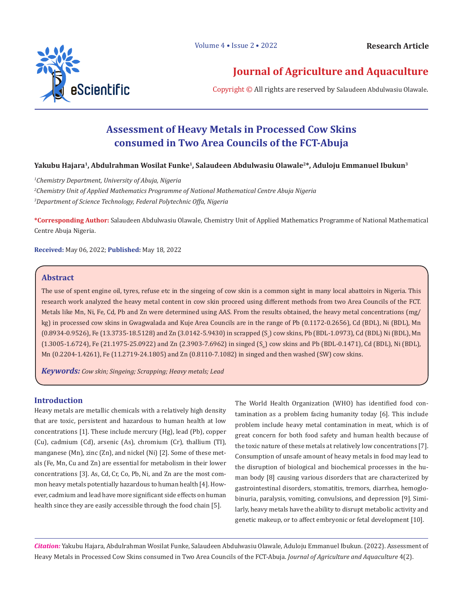Volume 4 • Issue 2 • 2022



# **Journal of Agriculture and Aquaculture**

Copyright © All rights are reserved by Salaudeen Abdulwasiu Olawale.

# **Assessment of Heavy Metals in Processed Cow Skins consumed in Two Area Councils of the FCT-Abuja**

## **Yakubu Hajara1, Abdulrahman Wosilat Funke1, Salaudeen Abdulwasiu Olawale2\*, Aduloju Emmanuel Ibukun3**

*1 Chemistry Department, University of Abuja, Nigeria 2 Chemistry Unit of Applied Mathematics Programme of National Mathematical Centre Abuja Nigeria 3 Department of Science Technology, Federal Polytechnic Offa, Nigeria*

**\*Corresponding Author:** Salaudeen Abdulwasiu Olawale, Chemistry Unit of Applied Mathematics Programme of National Mathematical Centre Abuja Nigeria.

**Received:** May 06, 2022; **Published:** May 18, 2022

# **Abstract**

The use of spent engine oil, tyres, refuse etc in the singeing of cow skin is a common sight in many local abattoirs in Nigeria. This research work analyzed the heavy metal content in cow skin proceed using different methods from two Area Councils of the FCT. Metals like Mn, Ni, Fe, Cd, Pb and Zn were determined using AAS. From the results obtained, the heavy metal concentrations (mg/ kg) in processed cow skins in Gwagwalada and Kuje Area Councils are in the range of Pb (0.1172-0.2656), Cd (BDL), Ni (BDL), Mn (0.8934-0.9526), Fe (13.3735-18.5128) and Zn (3.0142-5.9430) in scrapped (S<sup>c</sup> ) cow skins, Pb (BDL-1.0973), Cd (BDL) Ni (BDL), Mn (1.3005-1.6724), Fe (21.1975-25.0922) and Zn (2.3903-7.6962) in singed (S<sub>n</sub>) cow skins and Pb (BDL-0.1471), Cd (BDL), Ni (BDL), Mn (0.2204-1.4261), Fe (11.2719-24.1805) and Zn (0.8110-7.1082) in singed and then washed (SW) cow skins.

*Keywords: Cow skin; Singeing; Scrapping; Heavy metals; Lead*

## **Introduction**

Heavy metals are metallic chemicals with a relatively high density that are toxic, persistent and hazardous to human health at low concentrations [1]. These include mercury (Hg), lead (Pb), copper (Cu), cadmium (Cd), arsenic (As), chromium (Cr), thallium (TI), manganese (Mn), zinc (Zn), and nickel (Ni) [2]. Some of these metals (Fe, Mn, Cu and Zn) are essential for metabolism in their lower concentrations [3]. As, Cd, Cr, Co, Pb, Ni, and Zn are the most common heavy metals potentially hazardous to human health [4]. However, cadmium and lead have more significant side effects on human health since they are easily accessible through the food chain [5].

The World Health Organization (WHO) has identified food contamination as a problem facing humanity today [6]. This include problem include heavy metal contamination in meat, which is of great concern for both food safety and human health because of the toxic nature of these metals at relatively low concentrations [7]. Consumption of unsafe amount of heavy metals in food may lead to the disruption of biological and biochemical processes in the human body [8] causing various disorders that are characterized by gastrointestinal disorders, stomatitis, tremors, diarrhea, hemoglobinuria, paralysis, vomiting, convulsions, and depression [9]. Similarly, heavy metals have the ability to disrupt metabolic activity and genetic makeup, or to affect embryonic or fetal development [10].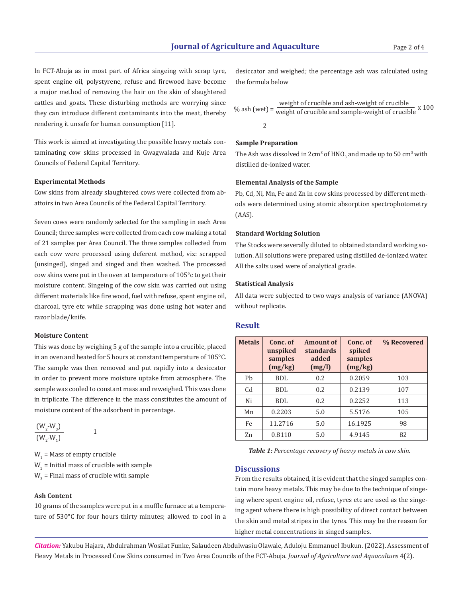In FCT-Abuja as in most part of Africa singeing with scrap tyre, spent engine oil, polystyrene, refuse and firewood have become a major method of removing the hair on the skin of slaughtered cattles and goats. These disturbing methods are worrying since they can introduce different contaminants into the meat, thereby rendering it unsafe for human consumption [11].

This work is aimed at investigating the possible heavy metals contaminating cow skins processed in Gwagwalada and Kuje Area Councils of Federal Capital Territory.

#### **Experimental Methods**

Cow skins from already slaughtered cows were collected from abattoirs in two Area Councils of the Federal Capital Territory.

Seven cows were randomly selected for the sampling in each Area Council; three samples were collected from each cow making a total of 21 samples per Area Council. The three samples collected from each cow were processed using deferent method, viz: scrapped (unsinged), singed and singed and then washed. The processed cow skins were put in the oven at temperature of 105°c to get their moisture content. Singeing of the cow skin was carried out using different materials like fire wood, fuel with refuse, spent engine oil, charcoal, tyre etc while scrapping was done using hot water and razor blade/knife.

#### **Moisture Content**

This was done by weighing 5 g of the sample into a crucible, placed in an oven and heated for 5 hours at constant temperature of 105°C. The sample was then removed and put rapidly into a desiccator in order to prevent more moisture uptake from atmosphere. The sample was cooled to constant mass and reweighed. This was done in triplicate. The difference in the mass constitutes the amount of moisture content of the adsorbent in percentage.

$$
\frac{(W_2-W_3)}{(W_2-W_1)}
$$

 $W_1$  = Mass of empty crucible  $W_{2}$  = Initial mass of crucible with sample  $W_{3}$  = Final mass of crucible with sample

1

### **Ash Content**

10 grams of the samples were put in a muffle furnace at a temperature of 530°C for four hours thirty minutes; allowed to cool in a desiccator and weighed; the percentage ash was calculated using the formula below

$$
\% \text{ ash (wet)} = \frac{\text{weight of crucible and ash-weight of crucible}}{\text{weight of crucible and sample-weight of crucible}} \times 100
$$

#### **Sample Preparation**

The Ash was dissolved in  $2\mathrm{cm^3}$  of  $\mathrm{HNO}_3$  and made up to  $50$  cm $^3$  with distilled de-ionized water.

### **Elemental Analysis of the Sample**

Pb, Cd, Ni, Mn, Fe and Zn in cow skins processed by different methods were determined using atomic absorption spectrophotometry (AAS).

#### **Standard Working Solution**

The Stocks were severally diluted to obtained standard working solution. All solutions were prepared using distilled de-ionized water. All the salts used were of analytical grade.

#### **Statistical Analysis**

All data were subjected to two ways analysis of variance (ANOVA) without replicate.

## **Result**

| <b>Metals</b> | Conc. of<br>unspiked<br>samples<br>(mg/kg) | <b>Amount of</b><br><b>standards</b><br>added<br>(mg/l) | Conc. of<br>spiked<br>samples<br>(mg/kg) | % Recovered |
|---------------|--------------------------------------------|---------------------------------------------------------|------------------------------------------|-------------|
| Ph            | BDL                                        | 0.2                                                     | 0.2059                                   | 103         |
| Cd            | BDL                                        | 0.2                                                     | 0.2139                                   | 107         |
| Ni            | BDL                                        | 0.2                                                     | 0.2252                                   | 113         |
| Mn            | 0.2203                                     | 5.0                                                     | 5.5176                                   | 105         |
| Fe            | 11.2716                                    | 5.0                                                     | 16.1925                                  | 98          |
| Zn            | 0.8110                                     | 5.0                                                     | 4.9145                                   | 82          |

*Table 1: Percentage recovery of heavy metals in cow skin.*

## **Discussions**

From the results obtained, it is evident that the singed samples contain more heavy metals. This may be due to the technique of singeing where spent engine oil, refuse, tyres etc are used as the singeing agent where there is high possibility of direct contact between the skin and metal stripes in the tyres. This may be the reason for higher metal concentrations in singed samples.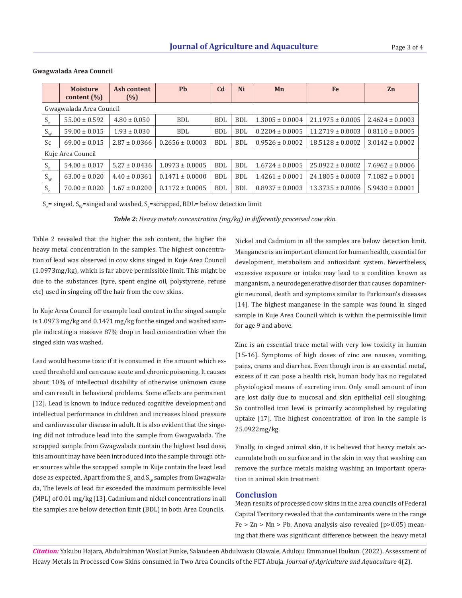|                         | <b>Moisture</b><br>content $(\% )$ | Ash content<br>(%) | <b>Pb</b>           | C <sub>d</sub> | Ni         | Mn                  | Fe                   | Zn                  |  |  |
|-------------------------|------------------------------------|--------------------|---------------------|----------------|------------|---------------------|----------------------|---------------------|--|--|
| Gwagwalada Area Council |                                    |                    |                     |                |            |                     |                      |                     |  |  |
| $S_n$                   | $55.00 \pm 0.592$                  | $4.80 \pm 0.050$   | <b>BDL</b>          | <b>BDL</b>     | <b>BDL</b> | $1.3005 \pm 0.0004$ | $21.1975 \pm 0.0005$ | $2.4624 \pm 0.0003$ |  |  |
| $S_{W}$                 | $59.00 \pm 0.015$                  | $1.93 \pm 0.030$   | BDL.                | BDL            | <b>BDL</b> | $0.2204 \pm 0.0005$ | $11.2719 \pm 0.0003$ | $0.8110 \pm 0.0005$ |  |  |
| Sc                      | $69.00 \pm 0.015$                  | $2.87 \pm 0.0366$  | $0.2656 \pm 0.0003$ | <b>BDL</b>     | <b>BDL</b> | $0.9526 \pm 0.0002$ | $18.5128 \pm 0.0002$ | $3.0142 \pm 0.0002$ |  |  |
| Kuje Area Council       |                                    |                    |                     |                |            |                     |                      |                     |  |  |
| $S_n$                   | $54.00 \pm 0.017$                  | $5.27 \pm 0.0436$  | $1.0973 \pm 0.0005$ | <b>BDL</b>     | <b>BDL</b> | $1.6724 \pm 0.0005$ | $25.0922 \pm 0.0002$ | $7.6962 \pm 0.0006$ |  |  |
| $S_{W}$                 | $63.00 \pm 0.020$                  | $4.40 \pm 0.0361$  | $0.1471 \pm 0.0000$ | <b>BDL</b>     | <b>BDL</b> | $1.4261 \pm 0.0001$ | $24.1805 \pm 0.0003$ | $7.1082 \pm 0.0001$ |  |  |
| $S_c$                   | $70.00 \pm 0.020$                  | $1.67 \pm 0.0200$  | $0.1172 \pm 0.0005$ | <b>BDL</b>     | <b>BDL</b> | $0.8937 \pm 0.0003$ | $13.3735 \pm 0.0006$ | $5.9430 \pm 0.0001$ |  |  |

#### **Gwagwalada Area Council**

 $\mathbf{S}_{\text{n}}$ = singed,  $\mathbf{S}_{\text{w}}$ =singed and washed,  $\mathbf{S}_{\text{c}}$ =scrapped, BDL= below detection limit

*Table 2: Heavy metals concentration (mg/kg) in differently processed cow skin.* 

Table 2 revealed that the higher the ash content, the higher the heavy metal concentration in the samples. The highest concentration of lead was observed in cow skins singed in Kuje Area Council (1.0973mg/kg), which is far above permissible limit. This might be due to the substances (tyre, spent engine oil, polystyrene, refuse etc) used in singeing off the hair from the cow skins.

In Kuje Area Council for example lead content in the singed sample is 1.0973 mg/kg and 0.1471 mg/kg for the singed and washed sample indicating a massive 87% drop in lead concentration when the singed skin was washed.

Lead would become toxic if it is consumed in the amount which exceed threshold and can cause acute and chronic poisoning. It causes about 10% of intellectual disability of otherwise unknown cause and can result in behavioral problems. Some effects are permanent [12]. Lead is known to induce reduced cognitive development and intellectual performance in children and increases blood pressure and cardiovascular disease in adult. It is also evident that the singeing did not introduce lead into the sample from Gwagwalada. The scrapped sample from Gwagwalada contain the highest lead dose, this amount may have been introduced into the sample through other sources while the scrapped sample in Kuje contain the least lead dose as expected. Apart from the  $\mathsf{S}_\mathsf{n}$  and  $\mathsf{S}_\mathsf{w}$  samples from Gwagwalada, The levels of lead far exceeded the maximum permissible level (MPL) of 0.01 mg/kg [13]. Cadmium and nickel concentrations in all the samples are below detection limit (BDL) in both Area Councils.

Nickel and Cadmium in all the samples are below detection limit. Manganese is an important element for human health, essential for development, metabolism and antioxidant system. Nevertheless, excessive exposure or intake may lead to a condition known as manganism, a neurodegenerative disorder that causes dopaminergic neuronal, death and symptoms similar to Parkinson's diseases [14]. The highest manganese in the sample was found in singed sample in Kuje Area Council which is within the permissible limit for age 9 and above.

Zinc is an essential trace metal with very low toxicity in human [15-16]. Symptoms of high doses of zinc are nausea, vomiting, pains, crams and diarrhea. Even though iron is an essential metal, excess of it can pose a health risk, human body has no regulated physiological means of excreting iron. Only small amount of iron are lost daily due to mucosal and skin epithelial cell sloughing. So controlled iron level is primarily accomplished by regulating uptake [17]. The highest concentration of iron in the sample is 25.0922mg/kg.

Finally, in singed animal skin, it is believed that heavy metals accumulate both on surface and in the skin in way that washing can remove the surface metals making washing an important operation in animal skin treatment

#### **Conclusion**

Mean results of processed cow skins in the area councils of Federal Capital Territory revealed that the contaminants were in the range  $Fe > Zn > Mn > Pb$ . Anova analysis also revealed (p>0.05) meaning that there was significant difference between the heavy metal